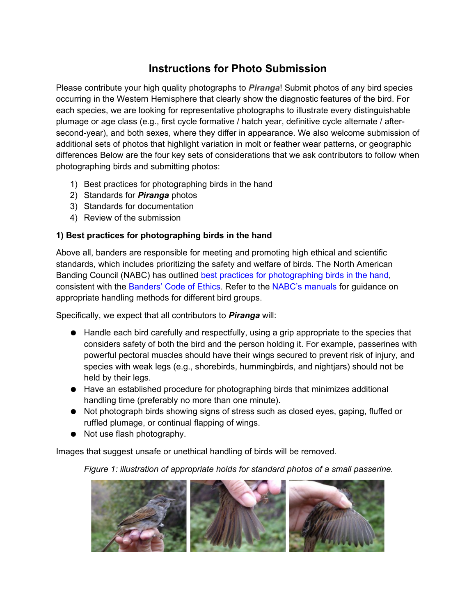# **Instructions for Photo Submission**

Please contribute your high quality photographs to *Piranga*! Submit photos of any bird species occurring in the Western Hemisphere that clearly show the diagnostic features of the bird. For each species, we are looking for representative photographs to illustrate every distinguishable plumage or age class (e.g., first cycle formative / hatch year, definitive cycle alternate / aftersecond-year), and both sexes, where they differ in appearance. We also welcome submission of additional sets of photos that highlight variation in molt or feather wear patterns, or geographic differences Below are the four key sets of considerations that we ask contributors to follow when photographing birds and submitting photos:

- 1) Best practices for photographing birds in the hand
- 2) Standards for *Piranga* photos
- 3) Standards for documentation
- 4) Review of the submission

#### **1) Best practices for photographing birds in the hand**

Above all, banders are responsible for meeting and promoting high ethical and scientific standards, which includes prioritizing the safety and welfare of birds. The North American Banding Council (NABC) has outlined best practices for photographing birds in the hand, consistent with the Banders' Code of Ethics. Refer to the NABC's manuals for guidance on appropriate handling methods for different bird groups.

Specifically, we expect that all contributors to *Piranga* will:

- Handle each bird carefully and respectfully, using a grip appropriate to the species that considers safety of both the bird and the person holding it. For example, passerines with powerful pectoral muscles should have their wings secured to prevent risk of injury, and species with weak legs (e.g., shorebirds, hummingbirds, and nightjars) should not be held by their legs.
- Have an established procedure for photographing birds that minimizes additional handling time (preferably no more than one minute).
- Not photograph birds showing signs of stress such as closed eyes, gaping, fluffed or ruffled plumage, or continual flapping of wings.
- Not use flash photography.

Images that suggest unsafe or unethical handling of birds will be removed.

*Figure 1: illustration of appropriate holds for standard photos of a small passerine.*

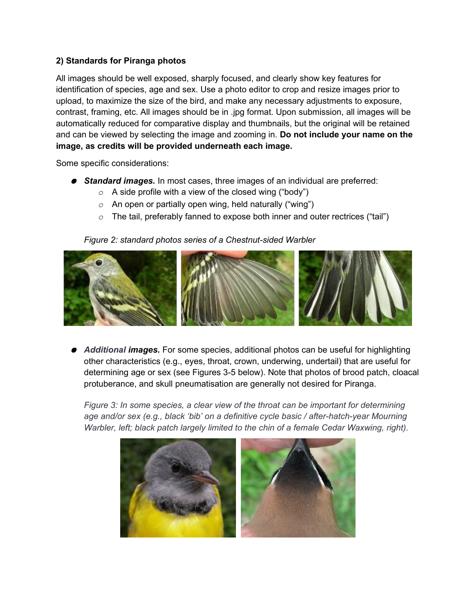# **2) Standards for Piranga photos**

All images should be well exposed, sharply focused, and clearly show key features for identification of species, age and sex. Use a photo editor to crop and resize images prior to upload, to maximize the size of the bird, and make any necessary adjustments to exposure, contrast, framing, etc. All images should be in .jpg format. Upon submission, all images will be automatically reduced for comparative display and thumbnails, but the original will be retained and can be viewed by selecting the image and zooming in. **Do not include your name on the image, as credits will be provided underneath each image.**

Some specific considerations:

- **Standard images.** In most cases, three images of an individual are preferred:
	- *o* A side profile with a view of the closed wing ("body")
	- *o* An open or partially open wing, held naturally ("wing")
	- *o* The tail, preferably fanned to expose both inner and outer rectrices ("tail")

#### *Figure 2: standard photos series of a Chestnut-sided Warbler*



● *Additional images.* For some species, additional photos can be useful for highlighting other characteristics (e.g., eyes, throat, crown, underwing, undertail) that are useful for determining age or sex (see Figures 3-5 below). Note that photos of brood patch, cloacal protuberance, and skull pneumatisation are generally not desired for Piranga.

*Figure 3: In some species, a clear view of the throat can be important for determining age and/or sex (e.g., black 'bib' on a definitive cycle basic / after-hatch-year Mourning Warbler, left; black patch largely limited to the chin of a female Cedar Waxwing, right).*

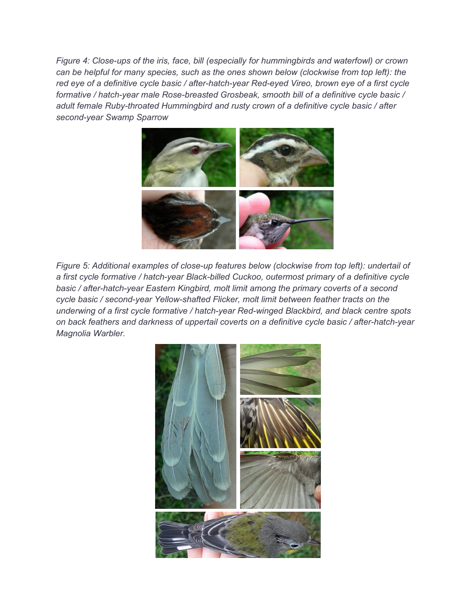*Figure 4: Close-ups of the iris, face, bill (especially for hummingbirds and waterfowl) or crown can be helpful for many species, such as the ones shown below (clockwise from top left): the red eye of a definitive cycle basic / after-hatch-year Red-eyed Vireo, brown eye of a first cycle formative / hatch-year male Rose-breasted Grosbeak, smooth bill of a definitive cycle basic / adult female Ruby-throated Hummingbird and rusty crown of a definitive cycle basic / after second-year Swamp Sparrow*



*Figure 5: Additional examples of close-up features below (clockwise from top left): undertail of a first cycle formative / hatch-year Black-billed Cuckoo, outermost primary of a definitive cycle basic / after-hatch-year Eastern Kingbird, molt limit among the primary coverts of a second cycle basic / second-year Yellow-shafted Flicker, molt limit between feather tracts on the underwing of a first cycle formative / hatch-year Red-winged Blackbird, and black centre spots on back feathers and darkness of uppertail coverts on a definitive cycle basic / after-hatch-year Magnolia Warbler.*

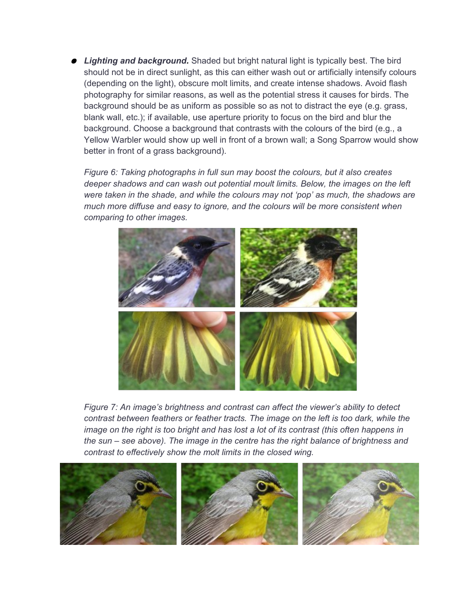● Lighting and background. Shaded but bright natural light is typically best. The bird should not be in direct sunlight, as this can either wash out or artificially intensify colours (depending on the light), obscure molt limits, and create intense shadows. Avoid flash photography for similar reasons, as well as the potential stress it causes for birds. The background should be as uniform as possible so as not to distract the eye (e.g. grass, blank wall, etc.); if available, use aperture priority to focus on the bird and blur the background. Choose a background that contrasts with the colours of the bird (e.g., a Yellow Warbler would show up well in front of a brown wall; a Song Sparrow would show better in front of a grass background).

*Figure 6: Taking photographs in full sun may boost the colours, but it also creates deeper shadows and can wash out potential moult limits. Below, the images on the left were taken in the shade, and while the colours may not 'pop' as much, the shadows are much more diffuse and easy to ignore, and the colours will be more consistent when comparing to other images.*



*Figure 7: An image's brightness and contrast can affect the viewer's ability to detect contrast between feathers or feather tracts. The image on the left is too dark, while the image on the right is too bright and has lost a lot of its contrast (this often happens in the sun – see above). The image in the centre has the right balance of brightness and contrast to effectively show the molt limits in the closed wing.* 

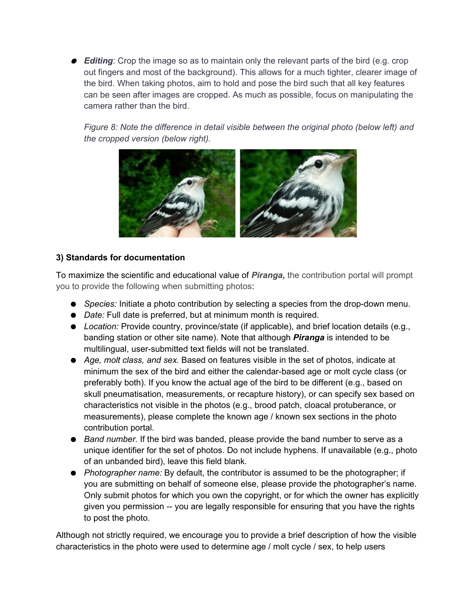● **Editing**: Crop the image so as to maintain only the relevant parts of the bird (e.g. crop out fingers and most of the background). This allows for a much tighter, clearer image of the bird. When taking photos, aim to hold and pose the bird such that all key features can be seen after images are cropped. As much as possible, focus on manipulating the camera rather than the bird.

*Figure 8: Note the difference in detail visible between the original photo (below left) and the cropped version (below right).* 



# **3) Standards for documentation**

To maximize the scientific and educational value of *Piranga,* the contribution portal will prompt you to provide the following when submitting photos:

- *Species:* Initiate a photo contribution by selecting a species from the drop-down menu.
- *Date:* Full date is preferred, but at minimum month is required.
- *Location:* Provide country, province/state (if applicable), and brief location details (e.g., banding station or other site name). Note that although *Piranga* is intended to be multilingual, user-submitted text fields will not be translated.
- *Age, molt class, and sex.* Based on features visible in the set of photos, indicate at minimum the sex of the bird and either the calendar-based age or molt cycle class (or preferably both). If you know the actual age of the bird to be different (e.g., based on skull pneumatisation, measurements, or recapture history), or can specify sex based on characteristics not visible in the photos (e.g., brood patch, cloacal protuberance, or measurements), please complete the known age / known sex sections in the photo contribution portal.
- *Band number.* If the bird was banded, please provide the band number to serve as a unique identifier for the set of photos. Do not include hyphens. If unavailable (e.g., photo of an unbanded bird), leave this field blank.
- *Photographer name:* By default, the contributor is assumed to be the photographer; if you are submitting on behalf of someone else, please provide the photographer's name. Only submit photos for which you own the copyright, or for which the owner has explicitly given you permission -- you are legally responsible for ensuring that you have the rights to post the photo.

Although not strictly required, we encourage you to provide a brief description of how the visible characteristics in the photo were used to determine age / molt cycle / sex, to help users